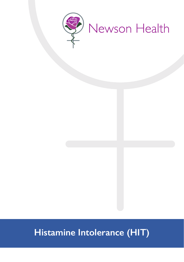

# **Histamine Intolerance (HIT)**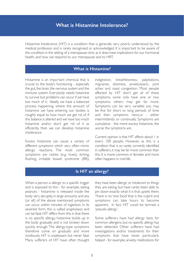# **What is Histamine Intolerance?**

Histamine Intolerance (HIT) is a condition that is generally very poorly understood by the medical profession and is rarely recognised or acknowledged. It is important to be aware of this condition in the setting of a menopause clinic as it does have implications for our hormonal health, and how we respond to our menopause and to HRT.

## **What is Histamine?**

Histamine is an important chemical that is crucial to the body's functioning - especially the gut, the brain, the nervous system and the immune system. Everybody needs histamine to survive but problems can occur if we have too much of it. Ideally, we have a balanced process happening, where the amount of histamine we have entering our bodies is roughly equal to how much we get rid of. If this balance is altered and we have too much histamine and/or don't get rid of it as efficiently, then we can develop histamine intolerance.

Excess histamine can cause a variety of different symptoms which very often mimic allergic reactions. The most common symptoms are rashes (e.g. hives), itching, flushing, irritable bowel syndrome (IBS), indigestion, breathlessness, palpitations, migraines, dizziness, anxiety/panic, joint aches and nasal congestion. Most people affected by HIT don't get all of these symptoms, some only have one or two symptoms, others may get far more. Symptoms can be very variable; you may be fine for short or long periods of time and then symptoms reoccur - either intermittently or continually. Symptoms are cumulative - the more excess histamine, the worse the symptoms are.

Current opinion is that HIT affects about 1 in every 100 people. However, as this is a condition that is so rarely correctly identified in sufferers, it may be far more common than this. It is more common in females and more often happens in mid-life.

#### **Is HIT an allergy?**

When a person is allergic to a specific trigger and is exposed to this - for example, eating peanuts - histamine is released inside the body very abruptly, in large amounts, and any (or all) of the above mentioned symptoms can occur within minutes of ingestion. In its severest form, this is called anaphylaxis and can be fatal. HIT differs from this in that there is no specific allergy; histamine builds up in the body gradually and is not broken down quickly enough. The allergy-type symptoms therefore come on gradually and more insidiously. HIT is unpleasant but never fatal. Many sufferers of HIT have often thought they have been allergic or intolerant to things they are eating, but have rarely been able to pin down exactly what it is that upsets them. There is no 'one food' that is the culprit and symptoms can take hours to become apparent. In fact, HIT could be termed a 'pseudo-allergy'.

Some sufferers have had allergy tests for common allergens, but no specific allergy has been detected. Other sufferers have had investigations and/or treatments for their symptoms that have never particularly helped - for example, anxiety medications for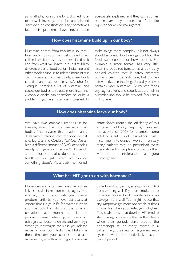panic attacks, nose sprays for a blocked nose, or bowel investigations for unexplained diarrhoea or constipation. They sometimes feel their problems have never been adequately explained and they can, at times, be inadvertently made to feel like hypochondriacs or 'malingerers'.

#### **How does histamine build up in our body?**

Histamine comes from two main sources from within us (our own cells, called 'mast' cells release it in response to certain stimuli) and from what we ingest in our diet. Many different types of food contain histamine and other foods cause us to release more of our own histamine from mast cells; some foods contain it and make us release it. Alcohol, for example, contains a lot of histamine and causes our bodies to release more histamine. Alcoholic drinks can therefore be quite a problem if you are histamine intolerant. To

make things more complex, it is not always about the type of food we ingest but how the food was prepared or how old it is. For example, a green tomato has very little histamine, but a red tomato has a lot. Freshly cooked chicken that is eaten promptly contains very little histamine, but chicken leftovers (kept in the fridge for a day or two) contains more histamine. Fermented foods e.g. yoghurt, kefir, and sauerkraut are rich in histamine and should be avoided if you are a HIT sufferer.

#### **How does histamine leave our body?**

We have two enzymes responsible for breaking down the histamine within our bodies. The enzyme that predominantly deals with histamine from the food we eat is called Diamine Oxidase (DAO). We all have a different amount of DAO depending mainly on genetics (we can't do much about this) but it also depends on the health of our gut (which we can do something about). As already mentioned, some foods reduce the efficiency of this enzyme. In addition, many drugs can affect the activity of DAO, for example, some antidepressants and painkillers make histamine intolerance worse. Ironically, many patients may be prescribed these medications for symptoms caused by their HIT, if the intolerance has gone unrecognised.

#### **What has HIT got to do with hormones?**

Hormones and histamine have a very close link, especially in relation to estrogen. As a woman, your own estrogen (made predominantly by your ovaries) peaks at various times in your life, for example, when your periods first start, at the time of ovulation each month, and in the perimenopause when your levels of estrogen can become erratic and very high. When your estrogen levels rise, you release more of your own histamine. Histamine then stimulates your ovaries to release more estrogen - thus setting off a vicious

cycle. In addition, estrogen stops your DAO from working well. If you are intolerant to histamine, you will not tolerate your own estrogen very well. You might notice that any symptoms get more noticeable at times in your life when your estrogen is highest. This is why those that develop HIT tend to start having problems either in their teens when their periods start, around the perimenopause or every month in a pattern, e.g. diarrhea or migraines each cycle or when it's a particularly heavy or painful period.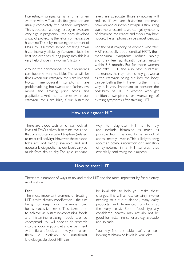Interestingly, pregnancy is a time when women with HIT actually feel great and are usually completely free of their symptoms. This is because - although estrogen levels are very high in pregnancy - the body develops a way of protecting the fetus from excessive histamine. This is by increasing the amount of DAO by 500 times, hence breaking down histamine very efficiently. If a woman feels the best she ever has during pregnancy, this is a very helpful clue in a woman's history.

Around the perimenopause our hormones can become very variable. There will be times when our estrogen levels are low and typical menopausal symptoms are problematic e.g. hot sweats and flushes, low mood and anxiety, joint aches and palpitations. And then at times when our estrogen levels are high, if our histamine levels are adequate, those symptoms will reduce. If we are histamine intolerant however, and our own estrogen is stimulating even more histamine, we can get symptoms of histamine intolerance and as you may have noticed, the symptoms can be almost identical.

For the vast majority of women who take HRT (especially body identical HRT), their menopausal symptoms reduce rapidly, and they feel significantly better, usually within 3-6 months. But for those women who take HRT and also have histamine intolerance, their symptoms may get worse as the estrogen being put into the body can be fuelling the HIT even further. This is why it is very important to consider the possibility of HIT in women who get additional symptoms or worsening of existing symptoms, after starting HRT.

## **How to diagnose HIT**

There are blood tests which can look at levels of DAO activity, histamine levels and that of a substance called tryptase (related to mast cell activity). However, these blood tests are not widely available and not necessarily diagnostic - as our levels vary so much from day to day. The gold standard way to diagnose HIT is to try and exclude histamine as much as possible from the diet for a period of approximately 4 weeks. This is likely to bring about an obvious reduction or elimination of symptoms in a HIT sufferer, thus essentially confirming the diagnosis.

#### **How to treat HIT**

There are a number of ways to try and tackle HIT and the most important by far is dietary modification.

#### Diet

The most important element of treating HIT is with dietary modification - the aim being to keep your histamine load below excessive levels. This takes time to achieve as histamine-containing foods and histamine-releasing foods are so widespread. You will need to do research into the foods in your diet and experiment with different foods and how you prepare them. A dietician or nutritionist knowledgeable about HIT can

be invaluable to help you make these changes. This will almost certainly involve needing to cut out alcohol, many dairy products and fermented products at the very least. Some food typically considered healthy may actually not be good for histamine sufferers e.g. avocado and spinach.

You may find this table useful, to start looking at histamine levels in your diet: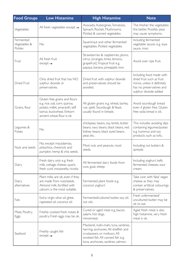| <b>Food Groups</b>                   | <b>Low Histamine</b>                                                                                                                                         | <b>High Histamine</b>                                                                                                                                                                    | <b>Note</b>                                                                                                                               |
|--------------------------------------|--------------------------------------------------------------------------------------------------------------------------------------------------------------|------------------------------------------------------------------------------------------------------------------------------------------------------------------------------------------|-------------------------------------------------------------------------------------------------------------------------------------------|
| Vegetables                           | All fresh vegetables except $\rightarrow$                                                                                                                    | Avocado, Aubergines, Tomatoes,<br>Spinach, Rocket, Mushrooms.<br>Pickled & canned vegetables                                                                                             | The fresher the vegetables<br>the better. Possibly peas<br>may cause symptoms.                                                            |
| Fermented<br>Vegetables &<br>Pickles | No                                                                                                                                                           | Sauerkraut and other fermented<br>vegetables. Pickled vegetables                                                                                                                         | Including fermented<br>vegetable sauces e.g. soya<br>sauce, miso                                                                          |
| Fruit                                | All fresh fruit<br>$except \rightarrow$                                                                                                                      | Strawberries & raspberries, plums,<br>citrus (oranges, limes, lemons,<br>grapefruit). Tropical fruit e.g.<br>papaya, banana, pineapple, kiwi.                                            | Avoid over ripe fruit.                                                                                                                    |
| Dried Fruit                          | Only dried fruit that has NO<br>sulphur dioxide or<br>preservatives.                                                                                         | Dried fruit with sulphur dioxide<br>and preservatives should be<br>avoided.                                                                                                              | Including food made with<br>dried fruit such as fruit<br>mince, unless it definitely<br>has no preservatives and<br>sulphur dioxide added |
| Grains, flour                        | Gluten free grains and flours<br>e.g. rice, oat, corn, quinoa,<br>potato, millet, amaranth, teff,<br>kamut, buckwheat, Einkorn<br>ancient wheat flour is ok. | All gluten grains e.g. wheat, barley,<br>rye, spelt. Sourdough & Yeast,<br>usually found in breads.                                                                                      | Avoid sourdough bread<br>even if gluten free. Gluten<br>free soda bread is ok.                                                            |
| Legumes &<br>Pulses                  | No                                                                                                                                                           | chickpeas, beans, soy, lentils, butter<br>beans, navy beans, black beans, red<br>kidney beans, black eyed beans,<br>peas etc.                                                            | This includes avoiding dips<br>containing legumes/pulses<br>e.g. hummus and soy<br>products such as tofu.                                 |
| Nuts and seeds                       | No, except macadamias,<br>pistachios, chestnuts and<br>pumpkin, hemp & chia seeds.                                                                           | Most nuts and peanuts, most<br>seeds.                                                                                                                                                    | Including nut butters &<br>spreads                                                                                                        |
| Dairy                                | Fresh dairy only e.g. fresh<br>milk, cottage cheese, quark,<br>fresh curd, mozzarella, ricotta                                                               | All fermented dairy foods from<br>cow, goat, sheep.                                                                                                                                      | Including yoghurt, kefir,<br>fermented cheeses, sour<br>cream.                                                                            |
| Dairy<br>alternatives                | Plant milks are ok, even if they<br>are made from nuts/seeds.<br>Almond milk, fortified with<br>calcium, is the most suitable.                               | Fermented plant foods e.g.<br>coconut yoghurt                                                                                                                                            | Take care with 'fake' vegan<br>cheese as they may<br>contain artificial colourings<br>& preservatives.                                    |
| Fats                                 | Extra virgin olive oil, ghee,<br>rapeseed oil, coconut oil.                                                                                                  | Fermented/cultured butter, soy oil,<br>nut oils.                                                                                                                                         | Fresh unfermented/<br>uncultured butter may be<br>ok to eat.                                                                              |
| Meat, Poultry,<br>Eggs               | Freshly cooked fresh meats &<br>poultry. Fresh eggs may be ok.                                                                                               | Cured or aged meat e.g. bacon,<br>salami, hot dogs,<br>mincemeat.                                                                                                                        | Aged fresh meat is also<br>high histamine, very fresh<br>meat is ok.                                                                      |
| Seafood                              | Freshly caught fish<br>$except \rightarrow$                                                                                                                  | Mackerel, mahi-mahi, tuna, sardines,<br>herring, anchovies. All shellfish and<br>crustaceans or molluscs. All<br>smoked fish. All canned fish e.g.<br>tuna, anchovies, sardines, salmon. |                                                                                                                                           |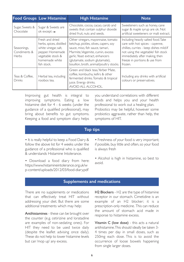|                                             | <b>Food Groups Low Histamine</b>                                                                                                              | <b>High Histamine</b>                                                                                                                                                                                                                                                | <b>Note</b>                                                                                                                                                                                                                            |
|---------------------------------------------|-----------------------------------------------------------------------------------------------------------------------------------------------|----------------------------------------------------------------------------------------------------------------------------------------------------------------------------------------------------------------------------------------------------------------------|----------------------------------------------------------------------------------------------------------------------------------------------------------------------------------------------------------------------------------------|
| Sugar, Sweets &<br>Chocolate                | Sugar & Sweets are<br>ok except $\rightarrow$                                                                                                 | Chocolate, cocoa, cacao, carob and<br>sweets that contain sulphur dioxide<br>dried fruit, nuts and seeds.                                                                                                                                                            | Sweeteners such as honey, cane<br>sugar & maple syrup are ok. Not<br>artificial sweeteners or malt extract.                                                                                                                            |
| Seasonings,<br>Condiments &<br><b>Herbs</b> | Fresh and dried<br>herbs, spices, distilled<br>white vinegar, salt,<br>pepper. Homemade<br>vegetable stock &<br>homemade white<br>fish stock. | Other vinegars, mayonnaise, tomato<br>ketchup, pickles, olives, capers, soy<br>sauce, miso, fish sauce, tamari,<br>Marmite, Vegemite, cumin, excess<br>garlic. Yeast extract, enhancers<br>(glutamate, sodium glutamate),<br>bouillon, broth, animal/poultry stocks. | Including heavily salted food. Take<br>care with hot spices - cayenne,<br>chillies, curries - keep dishes mild.If<br>not using the vegetable/ fish stock<br>immediately after making, then<br>freeze in portions & use from<br>frozen. |
| Teas & Coffee,<br>Drinks                    | Herbal tea, including<br>rooibos tea.                                                                                                         | Green and black teas, Yerber Mate,<br>coffee, kombucha, kefirs & other<br>fermented drinks. Tomato & tropical<br>juice. Energy drinks.<br>AVOID ALL ALCOHOL.                                                                                                         | Including any drinks with artificial<br>colours or preservatives.                                                                                                                                                                      |

Improving gut health is integral to improving symptoms. Eating a low histamine diet for 4 - 6 weeks (under the guidance of a qualified professional), may bring about benefits to gut symptoms. Keeping a food and symptom diary helps

you understand correlations with different foods and helps you and your health professional to work out a healing plan. Probiotics may be helpful, however some probiotics aggravate, rather than help, the symptoms of HIT.

## **Top tips**

• It is really helpful to keep a Food Dairy & follow the above list for 4 weeks under the guidance of a professional who is qualified & understands Histamine Intolerance.

• Download a food diary from here: https://www.histamineintolerance.org.uk/w p-content/uploads/2012/03/food-diary.pdf

• Freshness of your food is very important; if possible, buy little and often, so your food is always fresh

• Alcohol is high in histamine, so best to avoid.

#### **Supplements and medications**

There are no supplements or medications that can effectively treat HIT without addressing your diet. But there are some additional treatments which may help:

Antihistamines - these can be brought over the counter (e.g. cetirizine and loratadine are examples of non-sedating ones). For HIT they need to be used twice daily (despite the leaflet advising once daily). These do not help to lower histamine levels but can 'mop up' any excess.

H2 Blockers - H2 are the type of histamine receptor in our stomach. Cimetidine is an example of an H2 blocker; it is a prescription-only medicine. This can reduce the amount of stomach acid made in response to histamine excess.

Vitamin C (low dose) - this acts a natural antihistamine. This should ideally be taken 3- 4 times per day in small doses, such as 250mg each dose. This is to avoid the occurrence of loose bowels happening from single larger doses.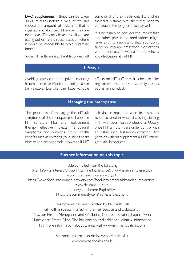DAO supplements - these can be taken 30-60 minutes before a meal to try and reduce the amount of histamine that is ingested and absorbed. However, they are expensive. (They may have a role if you are eating out or have a social occasion where it would be impossible to avoid histamine foods).

Some HIT sufferers may be able to wean off

some or all of their treatments if and when their diet is stable, but others may need to continue in the long term, to stay well.

It is necessary to consider the impact that any other prescribed medications might have and its important that you don't suddenly stop any prescribed medications without discussion with a doctor who is knowledgeable about HIT.

## **Lifestyle**

Avoiding stress can be helpful at reducing histamine release. Meditation and yoga can be valuable. Exercise can have variable effects on HIT sufferers. It is best to take regular exercise and see what type suits you as an individual.

#### **Managing the menopause**

The principles of managing the difficult symptoms of the menopause still apply in HIT sufferers. Hormone replacement therapy effectively treats menopausal symptoms and provides future health benefits such as lowering your risk of heart disease and osteoporosis. However, if HIT

is having an impact on your life, this needs to be factored in when discussing starting HRT with your health professional. Usually, once HIT symptoms are under control with an established histamine-restricted diet (with or without supplements), HRT can be gradually introduced.

#### **Further information on this topic**

Table compiled from the following: [SIGHI \(Swiss Interest Group Histamine Intolerance\). www.histaminintoleranz.ch](https://www.histaminintoleranz.ch/)  [www.histamineintolerance.org.uk](https://www.histamineintolerance.org.uk/)  <https://www.food-intolerance-network.com/food-intolerances/histamine-intolerance/> [www.drtinapeers.com](https://www.drtinapeers.com/)  [https://youtu.be/em-BxpImE6A](https://www.youtube.com/watch?v=em-BxpImE6A)  [https://thecommunality.com/hit-mcas-treatment](https://thecommunality.com/hit-mcas-treatment/) 

This booklet has been written by Dr Sarah Ball, GP with a special interest in the menopause and a doctor at Newson Health Menopause and Wellbeing Centre in Stratford-upon-Avon. Nutritionist, Emma Ellice-Flint has contributed additional dietary information. For more information about Emma, visit<www.emmasnutrition.com>

> For more information on Newson Health visit <www.newsonhealth.co.uk>